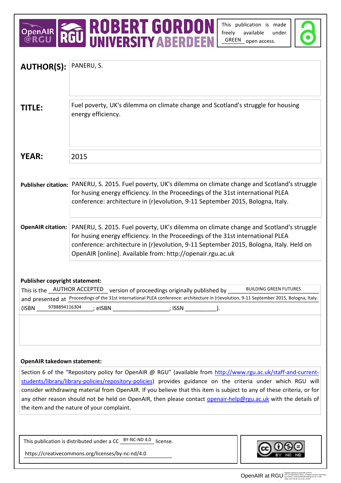# OPENAIR **ROBERT GORDON**<br>@RGU RGU UNIVERSITY ABERDEEN

This publication is made freely available under GREEN open access.



| <b>AUTHOR(S):</b>                                                                                                                                            | PANERU, S.                                                                                                                                                                |  |  |
|--------------------------------------------------------------------------------------------------------------------------------------------------------------|---------------------------------------------------------------------------------------------------------------------------------------------------------------------------|--|--|
|                                                                                                                                                              |                                                                                                                                                                           |  |  |
|                                                                                                                                                              |                                                                                                                                                                           |  |  |
|                                                                                                                                                              |                                                                                                                                                                           |  |  |
| TITLE:                                                                                                                                                       | Fuel poverty, UK's dilemma on climate change and Scotland's struggle for housing<br>energy efficiency.                                                                    |  |  |
|                                                                                                                                                              |                                                                                                                                                                           |  |  |
|                                                                                                                                                              |                                                                                                                                                                           |  |  |
|                                                                                                                                                              |                                                                                                                                                                           |  |  |
|                                                                                                                                                              |                                                                                                                                                                           |  |  |
| <b>YEAR:</b>                                                                                                                                                 | 2015                                                                                                                                                                      |  |  |
|                                                                                                                                                              |                                                                                                                                                                           |  |  |
|                                                                                                                                                              | Publisher citation: PANERU, S. 2015. Fuel poverty, UK's dilemma on climate change and Scotland's struggle                                                                 |  |  |
|                                                                                                                                                              | for husing energy efficiency. In the Proceedings of the 31st international PLEA                                                                                           |  |  |
|                                                                                                                                                              | conference: architecture in (r)evolution, 9-11 September 2015, Bologna, Italy.                                                                                            |  |  |
|                                                                                                                                                              |                                                                                                                                                                           |  |  |
|                                                                                                                                                              |                                                                                                                                                                           |  |  |
|                                                                                                                                                              | <b>OpenAIR citation:</b> PANERU, S. 2015. Fuel poverty, UK's dilemma on climate change and Scotland's struggle                                                            |  |  |
|                                                                                                                                                              | for husing energy efficiency. In the Proceedings of the 31st international PLEA<br>conference: architecture in (r)evolution, 9-11 September 2015, Bologna, Italy. Held on |  |  |
|                                                                                                                                                              | OpenAIR [online]. Available from: http://openair.rgu.ac.uk                                                                                                                |  |  |
|                                                                                                                                                              |                                                                                                                                                                           |  |  |
|                                                                                                                                                              |                                                                                                                                                                           |  |  |
| <b>Publisher copyright statement:</b>                                                                                                                        |                                                                                                                                                                           |  |  |
|                                                                                                                                                              | This is the __AUTHOR ACCEPTED_ version of proceedings originally published by _<br><b>BUILDING GREEN FUTURES</b>                                                          |  |  |
|                                                                                                                                                              | and presented at Proceedings of the 31st international PLEA conference: architecture in (r)evolution, 9-11 September 2015, Bologna, Italy.                                |  |  |
| 9788894116304<br>(ISBN                                                                                                                                       | ; eISBN                                     ; ISSN                                                                                                                        |  |  |
|                                                                                                                                                              |                                                                                                                                                                           |  |  |
|                                                                                                                                                              |                                                                                                                                                                           |  |  |
|                                                                                                                                                              |                                                                                                                                                                           |  |  |
|                                                                                                                                                              |                                                                                                                                                                           |  |  |
|                                                                                                                                                              |                                                                                                                                                                           |  |  |
| <b>OpenAIR takedown statement:</b>                                                                                                                           |                                                                                                                                                                           |  |  |
| Section 6 of the "Repository policy for OpenAIR @ RGU" (available from http://www.rgu.ac.uk/staff-and-current-                                               |                                                                                                                                                                           |  |  |
|                                                                                                                                                              | students/library/library-policies/repository-policies) provides guidance on the criteria under which RGU will                                                             |  |  |
| consider withdrawing material from OpenAIR. If you believe that this item is subject to any of these criteria, or for                                        |                                                                                                                                                                           |  |  |
| any other reason should not be held on OpenAIR, then please contact openair-help@rgu.ac.uk with the details of<br>the item and the nature of your complaint. |                                                                                                                                                                           |  |  |
|                                                                                                                                                              |                                                                                                                                                                           |  |  |
|                                                                                                                                                              |                                                                                                                                                                           |  |  |
|                                                                                                                                                              |                                                                                                                                                                           |  |  |
|                                                                                                                                                              | This publication is distributed under a CC $BY-NC-ND 4.0$ license.                                                                                                        |  |  |
|                                                                                                                                                              | https://creativecommons.org/licenses/by-nc-nd/4.0                                                                                                                         |  |  |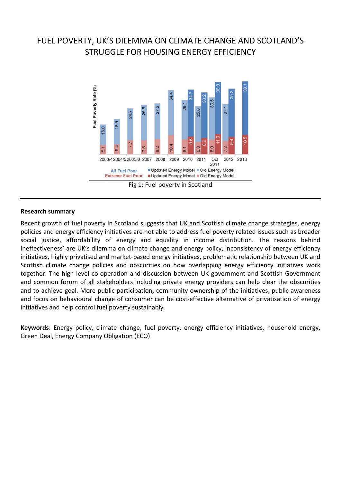# FUEL POVERTY, UK'S DILEMMA ON CLIMATE CHANGE AND SCOTLAND'S STRUGGLE FOR HOUSING ENERGY EFFICIENCY



#### **Research summary**

Recent growth of fuel poverty in Scotland suggests that UK and Scottish climate change strategies, energy policies and energy efficiency initiatives are not able to address fuel poverty related issues such as broader social justice, affordability of energy and equality in income distribution. The reasons behind ineffectiveness' are UK's dilemma on climate change and energy policy, inconsistency of energy efficiency initiatives, highly privatised and market-based energy initiatives, problematic relationship between UK and Scottish climate change policies and obscurities on how overlapping energy efficiency initiatives work together. The high level co-operation and discussion between UK government and Scottish Government and common forum of all stakeholders including private energy providers can help clear the obscurities and to achieve goal. More public participation, community ownership of the initiatives, public awareness and focus on behavioural change of consumer can be cost-effective alternative of privatisation of energy initiatives and help control fuel poverty sustainably.

**Keywords**: Energy policy, climate change, fuel poverty, energy efficiency initiatives, household energy, Green Deal, Energy Company Obligation (ECO)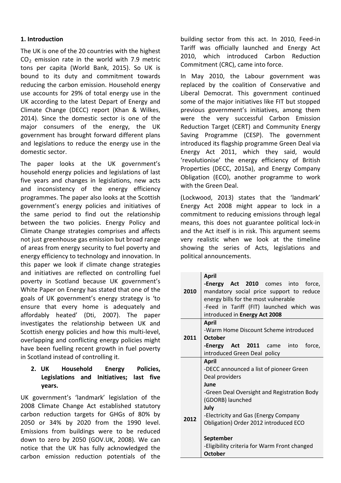#### **1. Introduction**

The UK is one of the 20 countries with the highest  $CO<sub>2</sub>$  emission rate in the world with 7.9 metric tons per capita (World Bank, 2015). So UK is bound to its duty and commitment towards reducing the carbon emission. Household energy use accounts for 29% of total energy use in the UK according to the latest Depart of Energy and Climate Change (DECC) report (Khan & Wilkes, 2014). Since the domestic sector is one of the major consumers of the energy, the UK government has brought forward different plans and legislations to reduce the energy use in the domestic sector.

The paper looks at the UK government's household energy policies and legislations of last five years and changes in legislations, new acts and inconsistency of the energy efficiency programmes. The paper also looks at the Scottish government's energy policies and initiatives of the same period to find out the relationship between the two policies. Energy Policy and Climate Change strategies comprises and affects not just greenhouse gas emission but broad range of areas from energy security to fuel poverty and energy efficiency to technology and innovation. In this paper we look if climate change strategies and initiatives are reflected on controlling fuel poverty in Scotland because UK government's White Paper on Energy has stated that one of the goals of UK government's energy strategy is 'to ensure that every home is adequately and affordably heated' (Dti, 2007). The paper investigates the relationship between UK and Scottish energy policies and how this multi-level, overlapping and conflicting energy policies might have been fuelling recent growth in fuel poverty in Scotland instead of controlling it.

### **2. UK Household Energy Policies, Legislations and Initiatives; last five years.**

UK government's 'landmark' legislation of the 2008 Climate Change Act established statutory carbon reduction targets for GHGs of 80% by 2050 or 34% by 2020 from the 1990 level. Emissions from buildings were to be reduced down to zero by 2050 (GOV.UK, 2008). We can notice that the UK has fully acknowledged the carbon emission reduction potentials of the

building sector from this act. In 2010, Feed-in Tariff was officially launched and Energy Act 2010, which introduced Carbon Reduction Commitment (CRC), came into force.

In May 2010, the Labour government was replaced by the coalition of Conservative and Liberal Democrat. This government continued some of the major initiatives like FIT but stopped previous government's initiatives, among them were the very successful Carbon Emission Reduction Target (CERT) and Community Energy Saving Programme (CESP). The government introduced its flagship programme Green Deal via Energy Act 2011, which they said, would 'revolutionise' the energy efficiency of British Properties (DECC, 2015a), and Energy Company Obligation (ECO), another programme to work with the Green Deal.

(Lockwood, 2013) states that the 'landmark' Energy Act 2008 might appear to lock in a commitment to reducing emissions through legal means, this does not guarantee political lock-in and the Act itself is in risk. This argument seems very realistic when we look at the timeline showing the series of Acts, legislations and political announcements.

| 2010 | <b>April</b><br><b>-Energy Act 2010</b> comes into<br>force,<br>mandatory social price support to reduce<br>energy bills for the most vulnerable<br>-Feed in Tariff (FIT) launched which was                                                  |  |  |  |  |
|------|-----------------------------------------------------------------------------------------------------------------------------------------------------------------------------------------------------------------------------------------------|--|--|--|--|
|      | introduced in Energy Act 2008                                                                                                                                                                                                                 |  |  |  |  |
| 2011 | <b>April</b><br>-Warm Home Discount Scheme introduced<br><b>October</b><br><b>Energy Act 2011</b> came into<br>force,                                                                                                                         |  |  |  |  |
|      | introduced Green Deal policy                                                                                                                                                                                                                  |  |  |  |  |
| 2012 | <b>April</b><br>-DECC announced a list of pioneer Green<br>Deal providers<br>June<br>-Green Deal Oversight and Registration Body<br>(GDORB) launched<br>July<br>-Electricity and Gas (Energy Company<br>Obligation) Order 2012 introduced ECO |  |  |  |  |
|      | September<br>-Eligibility criteria for Warm Front changed<br><b>October</b>                                                                                                                                                                   |  |  |  |  |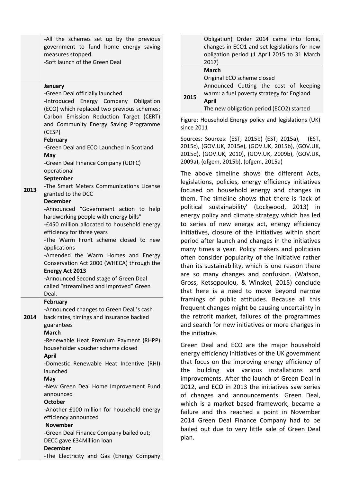|      | -All the schemes set up by the previous<br>government to fund home energy saving<br>measures stopped<br>-Soft launch of the Green Deal                                                                                                                                                                                                                                                                                                                                 |
|------|------------------------------------------------------------------------------------------------------------------------------------------------------------------------------------------------------------------------------------------------------------------------------------------------------------------------------------------------------------------------------------------------------------------------------------------------------------------------|
|      | January                                                                                                                                                                                                                                                                                                                                                                                                                                                                |
|      | -Green Deal officially launched<br>-Introduced Energy Company Obligation<br>(ECO) which replaced two previous schemes;<br>Carbon Emission Reduction Target (CERT)<br>and Community Energy Saving Programme<br>(CESP)<br>February<br>-Green Deal and ECO Launched in Scotland<br>May<br>-Green Deal Finance Company (GDFC)<br>operational<br>September<br>-The Smart Meters Communications License                                                                      |
| 2013 | granted to the DCC<br><b>December</b><br>-Announced "Government action to help<br>hardworking people with energy bills"<br>-£450 million allocated to household energy<br>efficiency for three years<br>-The Warm Front scheme closed to new<br>applications<br>-Amended the Warm Homes and Energy<br>Conservation Act 2000 (WHECA) through the<br><b>Energy Act 2013</b><br>-Announced Second stage of Green Deal<br>called "streamlined and improved" Green<br>Deal. |
| 2014 | <b>February</b><br>-Announced changes to Green Deal's cash<br>back rates, timings and insurance backed<br>guarantees<br><b>March</b><br>-Renewable Heat Premium Payment (RHPP)<br>householder voucher scheme closed<br><b>April</b>                                                                                                                                                                                                                                    |
|      | -Domestic Renewable Heat Incentive (RHI)<br>launched<br>May<br>-New Green Deal Home Improvement Fund<br>announced<br><b>October</b><br>-Another £100 million for household energy                                                                                                                                                                                                                                                                                      |
|      | efficiency announced<br><b>November</b><br>-Green Deal Finance Company bailed out;<br>DECC gave £34Million loan<br><b>December</b><br>-The Electricity and Gas (Energy Company                                                                                                                                                                                                                                                                                         |

| changes in ECO1 and set legislations for new<br>obligation period (1 April 2015 to 31 March<br>2017)                                                                                          |  |
|-----------------------------------------------------------------------------------------------------------------------------------------------------------------------------------------------|--|
| <b>March</b><br>Original ECO scheme closed<br>Announced Cutting the cost of keeping<br>warm: a fuel poverty strategy for England<br>2015<br>April<br>The new obligation period (ECO2) started |  |

Figure: Household Energy policy and legislations (UK) since 2011

Sources: Sources: (EST, 2015b) (EST, 2015a), (EST, 2015c), (GOV.UK, 2015e), (GOV.UK, 2015b), (GOV.UK, 2015d), (GOV.UK, 2010), (GOV.UK, 2009b), (GOV.UK, 2009a), (ofgem, 2015b), (ofgem, 2015a)

The above timeline shows the different Acts, legislations, policies, energy efficiency initiatives focused on household energy and changes in them. The timeline shows that there is 'lack of political sustainability' (Lockwood, 2013) in energy policy and climate strategy which has led to series of new energy act, energy efficiency initiatives, closure of the initiatives within short period after launch and changes in the initiatives many times a year. Policy makers and politician often consider popularity of the initiative rather than its sustainability, which is one reason there are so many changes and confusion. (Watson, Gross, Ketsopoulou, & Winskel, 2015) conclude that here is a need to move beyond narrow framings of public attitudes. Because all this frequent changes might be causing uncertainty in the retrofit market, failures of the programmes and search for new initiatives or more changes in the initiative.

Green Deal and ECO are the major household energy efficiency initiatives of the UK government that focus on the improving energy efficiency of the building via various installations and improvements. After the launch of Green Deal in 2012, and ECO in 2013 the initiatives saw series of changes and announcements. Green Deal, which is a market based framework, became a failure and this reached a point in November 2014 Green Deal Finance Company had to be bailed out due to very little sale of Green Deal plan.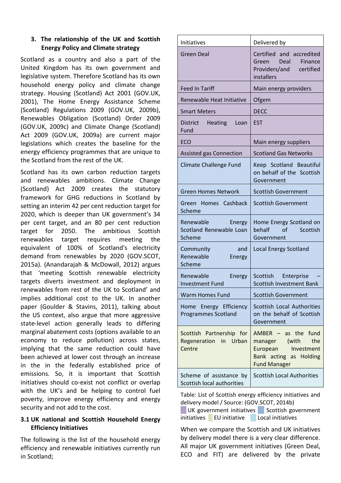## **3. The relationship of the UK and Scottish Energy Policy and Climate strategy**

Scotland as a country and also a part of the United Kingdom has its own government and legislative system. Therefore Scotland has its own household energy policy and climate change strategy. Housing (Scotland) Act 2001 (GOV.UK, 2001), The Home Energy Assistance Scheme (Scotland) Regulations 2009 (GOV.UK, 2009b), Renewables Obligation (Scotland) Order 2009 (GOV.UK, 2009c) and Climate Change (Scotland) Act 2009 (GOV.UK, 2009a) are current major legislations which creates the baseline for the energy efficiency programmes that are unique to the Scotland from the rest of the UK.

Scotland has its own carbon reduction targets and renewables ambitions. Climate Change (Scotland) Act 2009 creates the statutory framework for GHG reductions in Scotland by setting an interim 42 per cent reduction target for 2020, which is deeper than UK government's 34 per cent target, and an 80 per cent reduction target for 2050. The ambitious Scottish renewables target requires meeting the equivalent of 100% of Scotland's electricity demand from renewables by 2020 (GOV.SCOT, 2015a). (Anandarajah & McDowall, 2012) argues that 'meeting Scottish renewable electricity targets diverts investment and deployment in renewables from rest of the UK to Scotland' and implies additional cost to the UK. In another paper (Goulder & Stavins, 2011), talking about the US context, also argue that more aggressive state-level action generally leads to differing marginal abatement costs (options available to an economy to reduce pollution) across states, implying that the same reduction could have been achieved at lower cost through an increase in the in the federally established price of emissions. So, it is important that Scottish initiatives should co-exist not conflict or overlap with the UK's and be helping to control fuel poverty, improve energy efficiency and energy security and not add to the cost.

# **3.1 UK national and Scottish Household Energy Efficiency Initiatives**

The following is the list of the household energy efficiency and renewable initiatives currently run in Scotland;

| Initiatives                                                 | Delivered by                                                                                                                |
|-------------------------------------------------------------|-----------------------------------------------------------------------------------------------------------------------------|
| <b>Green Deal</b>                                           | Certified and accredited<br>Green Deal<br>Finance<br>Providers/and<br>certified<br>installers                               |
| <b>Feed In Tariff</b>                                       | Main energy providers                                                                                                       |
| Renewable Heat Initiative                                   | Ofgem                                                                                                                       |
| <b>Smart Meters</b>                                         | <b>DECC</b>                                                                                                                 |
| <b>District</b><br><b>Heating</b><br>Loan<br>Fund           | <b>EST</b>                                                                                                                  |
| ECO                                                         | Main energy suppliers                                                                                                       |
| <b>Assisted gas Connection</b>                              | <b>Scotland Gas Networks</b>                                                                                                |
| <b>Climate Challenge Fund</b>                               | Keep Scotland Beautiful<br>on behalf of the Scottish<br>Government                                                          |
| <b>Green Homes Network</b>                                  | <b>Scottish Government</b>                                                                                                  |
| Green Homes Cashback<br>Scheme                              | <b>Scottish Government</b>                                                                                                  |
| Renewable<br>Energy<br>Scotland Renewable Loan<br>Scheme    | Home Energy Scotland on<br>behalf<br>$\alpha$ f<br>Scottish<br>Government                                                   |
| and<br>Community<br>Renewable<br>Energy<br>Scheme           | <b>Local Energy Scotland</b>                                                                                                |
| Renewable<br>Energy<br><b>Investment Fund</b>               | Scottish<br>Enterprise<br><b>Scottish Investment Bank</b>                                                                   |
| <b>Warm Homes Fund</b>                                      | <b>Scottish Government</b>                                                                                                  |
| Home Energy Efficiency<br><b>Programmes Scotland</b>        | Scottish Local Authorities<br>on the behalf of Scottish<br>Government                                                       |
| Scottish Partnership for<br>Regeneration in Urban<br>Centre | $AMBER - as$ the fund<br>(with<br>the<br>manager<br>European<br>Investment<br>Bank acting as Holding<br><b>Fund Manager</b> |
| Scheme of assistance by<br>Scottish local authorities       | <b>Scottish Local Authorities</b>                                                                                           |

Table: List of Scottish energy efficiency initiatives and delivery model / Source: (GOV.SCOT, 2014b)

UK government initiatives Scottish government initiatives EU initiative Local initiatives

When we compare the Scottish and UK initiatives by delivery model there is a very clear difference. All major UK government initiatives (Green Deal, ECO and FIT) are delivered by the private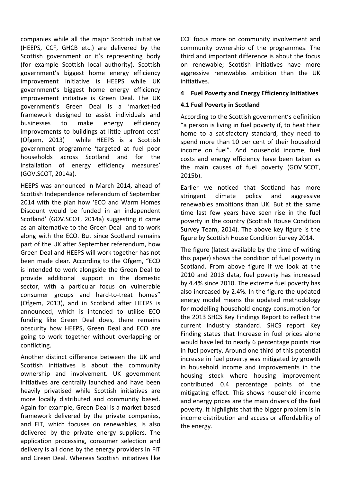companies while all the major Scottish initiative (HEEPS, CCF, GHCB etc.) are delivered by the Scottish government or it's representing body (for example Scottish local authority). Scottish government's biggest home energy efficiency improvement initiative is HEEPS while UK government's biggest home energy efficiency improvement initiative is Green Deal. The UK government's Green Deal is a 'market-led framework designed to assist individuals and businesses to make energy efficiency improvements to buildings at little upfront cost' (Ofgem, 2013) while HEEPS is a Scottish government programme 'targeted at fuel poor households across Scotland and for the installation of energy efficiency measures' (GOV.SCOT, 2014a).

HEEPS was announced in March 2014, ahead of Scottish Independence referendum of September 2014 with the plan how 'ECO and Warm Homes Discount would be funded in an independent Scotland' (GOV.SCOT, 2014a) suggesting it came as an alternative to the Green Deal and to work along with the ECO. But since Scotland remains part of the UK after September referendum, how Green Deal and HEEPS will work together has not been made clear. According to the Ofgem, "ECO is intended to work alongside the Green Deal to provide additional support in the domestic sector, with a particular focus on vulnerable consumer groups and hard-to-treat homes" (Ofgem, 2013), and in Scotland after HEEPS is announced, which is intended to utilise ECO funding like Green Deal does, there remains obscurity how HEEPS, Green Deal and ECO are going to work together without overlapping or conflicting.

Another distinct difference between the UK and Scottish initiatives is about the community ownership and involvement. UK government initiatives are centrally launched and have been heavily privatised while Scottish initiatives are more locally distributed and community based. Again for example, Green Deal is a market based framework delivered by the private companies, and FIT, which focuses on renewables, is also delivered by the private energy suppliers. The application processing, consumer selection and delivery is all done by the energy providers in FIT and Green Deal. Whereas Scottish initiatives like

CCF focus more on community involvement and community ownership of the programmes. The third and important difference is about the focus on renewable; Scottish initiatives have more aggressive renewables ambition than the UK initiatives.

#### **4 Fuel Poverty and Energy Efficiency Initiatives**

#### **4.1 Fuel Poverty in Scotland**

According to the Scottish government's definition "a person is living in fuel poverty if, to heat their home to a satisfactory standard, they need to spend more than 10 per cent of their household income on fuel". And household income, fuel costs and energy efficiency have been taken as the main causes of fuel poverty (GOV.SCOT, 2015b).

Earlier we noticed that Scotland has more stringent climate policy and aggressive renewables ambitions than UK. But at the same time last few years have seen rise in the fuel poverty in the country (Scottish House Condition Survey Team, 2014). The above key figure is the figure by Scottish House Condition Survey 2014.

The figure (latest available by the time of writing this paper) shows the condition of fuel poverty in Scotland. From above figure if we look at the 2010 and 2013 data, fuel poverty has increased by 4.4% since 2010. The extreme fuel poverty has also increased by 2.4%. In the figure the updated energy model means the updated methodology for modelling household energy consumption for the 2013 SHCS Key Findings Report to reflect the current industry standard. SHCS report Key Finding states that Increase in fuel prices alone would have led to nearly 6 percentage points rise in fuel poverty. Around one third of this potential increase in fuel poverty was mitigated by growth in household income and improvements in the housing stock where housing improvement contributed 0.4 percentage points of the mitigating effect. This shows household income and energy prices are the main drivers of the fuel poverty. It highlights that the bigger problem is in income distribution and access or affordability of the energy.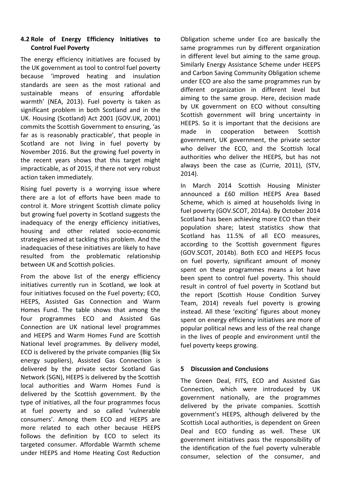#### **4.2 Role of Energy Efficiency Initiatives to Control Fuel Poverty**

The energy efficiency initiatives are focused by the UK government as tool to control fuel poverty because 'improved heating and insulation standards are seen as the most rational and sustainable means of ensuring affordable warmth' (NEA, 2013). Fuel poverty is taken as significant problem in both Scotland and in the UK. Housing (Scotland) Act 2001 (GOV.UK, 2001) commits the Scottish Government to ensuring, 'as far as is reasonably practicable', that people in Scotland are not living in fuel poverty by November 2016. But the growing fuel poverty in the recent years shows that this target might impracticable, as of 2015, if there not very robust action taken immediately.

Rising fuel poverty is a worrying issue where there are a lot of efforts have been made to control it. More stringent Scottish climate policy but growing fuel poverty in Scotland suggests the inadequacy of the energy efficiency initiatives, housing and other related socio-economic strategies aimed at tackling this problem. And the inadequacies of these initiatives are likely to have resulted from the problematic relationship between UK and Scottish policies.

From the above list of the energy efficiency initiatives currently run in Scotland, we look at four initiatives focused on the Fuel poverty; ECO, HEEPS, Assisted Gas Connection and Warm Homes Fund. The table shows that among the four programmes ECO and Assisted Gas Connection are UK national level programmes and HEEPS and Warm Homes Fund are Scottish National level programmes. By delivery model, ECO is delivered by the private companies (Big Six energy suppliers), Assisted Gas Connection is delivered by the private sector Scotland Gas Network (SGN), HEEPS is delivered by the Scottish local authorities and Warm Homes Fund is delivered by the Scottish government. By the type of initiatives, all the four programmes focus at fuel poverty and so called 'vulnerable consumers'. Among them ECO and HEEPS are more related to each other because HEEPS follows the definition by ECO to select its targeted consumer. Affordable Warmth scheme under HEEPS and Home Heating Cost Reduction

Obligation scheme under Eco are basically the same programmes run by different organization in different level but aiming to the same group. Similarly Energy Assistance Scheme under HEEPS and Carbon Saving Community Obligation scheme under ECO are also the same programmes run by different organization in different level but aiming to the same group. Here, decision made by UK government on ECO without consulting Scottish government will bring uncertainty in HEEPS. So it is important that the decisions are made in cooperation between Scottish government, UK government, the private sector who deliver the ECO, and the Scottish local authorities who deliver the HEEPS, but has not always been the case as (Currie, 2011), (STV, 2014).

In March 2014 Scottish Housing Minister announced a £60 million HEEPS Area Based Scheme, which is aimed at households living in fuel poverty (GOV.SCOT, 2014a). By October 2014 Scotland has been achieving more ECO than their population share; latest statistics show that Scotland has 11.5% of all ECO measures, according to the Scottish government figures (GOV.SCOT, 2014b). Both ECO and HEEPS focus on fuel poverty, significant amount of money spent on these programmes means a lot have been spent to control fuel poverty. This should result in control of fuel poverty in Scotland but the report (Scottish House Condition Survey Team, 2014) reveals fuel poverty is growing instead. All these 'exciting' figures about money spent on energy efficiency initiatives are more of popular political news and less of the real change in the lives of people and environment until the fuel poverty keeps growing.

#### **5 Discussion and Conclusions**

The Green Deal, FITS, ECO and Assisted Gas Connection, which were introduced by UK government nationally, are the programmes delivered by the private companies. Scottish government's HEEPS, although delivered by the Scottish Local authorities, is dependent on Green Deal and ECO funding as well. These UK government initiatives pass the responsibility of the identification of the fuel poverty vulnerable consumer, selection of the consumer, and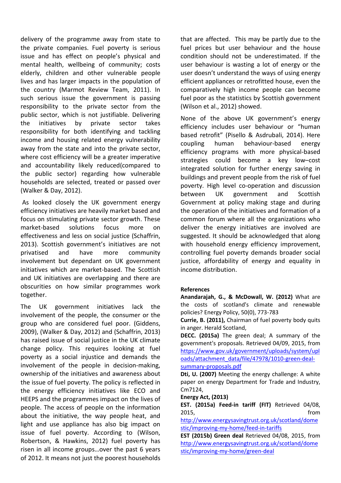delivery of the programme away from state to the private companies. Fuel poverty is serious issue and has effect on people's physical and mental health, wellbeing of community; costs elderly, children and other vulnerable people lives and has larger impacts in the population of the country (Marmot Review Team, 2011). In such serious issue the government is passing responsibility to the private sector from the public sector, which is not justifiable. Delivering the initiatives by private sector takes responsibility for both identifying and tackling income and housing related energy vulnerability away from the state and into the private sector, where cost efficiency will be a greater imperative and accountability likely reduced(compared to the public sector) regarding how vulnerable households are selected, treated or passed over (Walker & Day, 2012).

As looked closely the UK government energy efficiency initiatives are heavily market based and focus on stimulating private sector growth. These market-based solutions focus more on effectiveness and less on social justice (Schaffrin, 2013). Scottish government's initiatives are not privatised and have more community involvement but dependant on UK government initiatives which are market-based. The Scottish and UK initiatives are overlapping and there are obscurities on how similar programmes work together.

The UK government initiatives lack the involvement of the people, the consumer or the group who are considered fuel poor. (Giddens, 2009), (Walker & Day, 2012) and (Schaffrin, 2013) has raised issue of social justice in the UK climate change policy. This requires looking at fuel poverty as a social injustice and demands the involvement of the people in decision-making, ownership of the initiatives and awareness about the issue of fuel poverty. The policy is reflected in the energy efficiency initiatives like ECO and HEEPS and the programmes impact on the lives of people. The access of people on the information about the initiative, the way people heat, and light and use appliance has also big impact on issue of fuel poverty. According to (Wilson, Robertson, & Hawkins, 2012) fuel poverty has risen in all income groups…over the past 6 years of 2012. It means not just the poorest households that are affected. This may be partly due to the fuel prices but user behaviour and the house condition should not be underestimated. If the user behaviour is wasting a lot of energy or the user doesn't understand the ways of using energy efficient appliances or retrofitted house, even the comparatively high income people can become fuel poor as the statistics by Scottish government (Wilson et al., 2012) showed.

None of the above UK government's energy efficiency includes user behaviour or "human based retrofit" (Pisello & Asdrubali, 2014). Here coupling human behaviour-based energy efficiency programs with more physical-based strategies could become a key low–cost integrated solution for further energy saving in buildings and prevent people from the risk of fuel poverty. High level co-operation and discussion between UK government and Scottish Government at policy making stage and during the operation of the initiatives and formation of a common forum where all the organizations who deliver the energy initiatives are involved are suggested. It should be acknowledged that along with household energy efficiency improvement, controlling fuel poverty demands broader social justice, affordability of energy and equality in income distribution.

#### **References**

**Anandarajah, G., & McDowall, W. (2012)** What are the costs of scotland's climate and renewable policies? Energy Policy, 50(0), 773-783

**Currie, B. (2011),** Chairman of fuel poverty body quits in anger. Herald Scotland,

**DECC. (2015a)** The green deal; A summary of the government's proposals. Retrieved 04/09, 2015, from [https://www.gov.uk/government/uploads/system/upl](https://www.gov.uk/government/uploads/system/uploads/attachment_data/file/47978/1010-green-deal-summary-proposals.pdf) [oads/attachment\\_data/file/47978/1010-green-deal](https://www.gov.uk/government/uploads/system/uploads/attachment_data/file/47978/1010-green-deal-summary-proposals.pdf)[summary-proposals.pdf](https://www.gov.uk/government/uploads/system/uploads/attachment_data/file/47978/1010-green-deal-summary-proposals.pdf)

**Dti, U. (2007)** Meeting the energy challenge: A white paper on energy Department for Trade and Industry, Cm7124,

**Energy Act, (2013)**

**EST. (2015a) Feed-in tariff (FIT)** Retrieved 04/08, 2015, from

[http://www.energysavingtrust.org.uk/scotland/dome](http://www.energysavingtrust.org.uk/scotland/domestic/improving-my-home/feed-in-tariffs) [stic/improving-my-home/feed-in-tariffs](http://www.energysavingtrust.org.uk/scotland/domestic/improving-my-home/feed-in-tariffs)

**EST (2015b) Green deal** Retrieved 04/08, 2015, from [http://www.energysavingtrust.org.uk/scotland/dome](http://www.energysavingtrust.org.uk/scotland/domestic/improving-my-home/green-deal) [stic/improving-my-home/green-deal](http://www.energysavingtrust.org.uk/scotland/domestic/improving-my-home/green-deal)